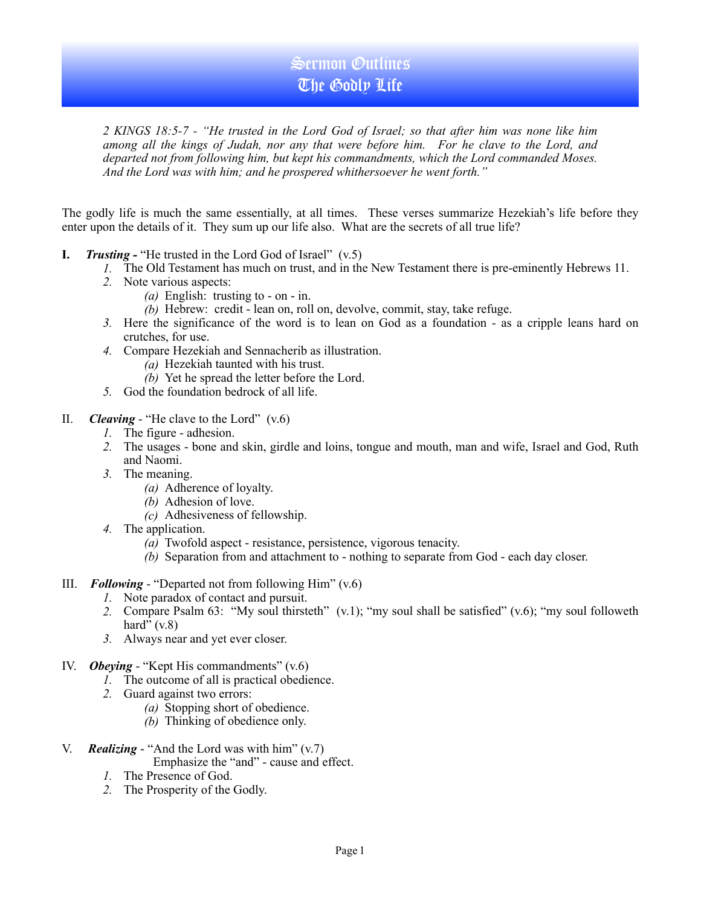## Sermon Outlines The Godly Life

*2 KINGS 18:5-7 - "He trusted in the Lord God of Israel; so that after him was none like him among all the kings of Judah, nor any that were before him. For he clave to the Lord, and departed not from following him, but kept his commandments, which the Lord commanded Moses. And the Lord was with him; and he prospered whithersoever he went forth."* 

The godly life is much the same essentially, at all times. These verses summarize Hezekiah's life before they enter upon the details of it. They sum up our life also. What are the secrets of all true life?

- **I.** *Trusting* "He trusted in the Lord God of Israel" (v.5)
	- *1.* The Old Testament has much on trust, and in the New Testament there is pre-eminently Hebrews 11.
	- *2.* Note various aspects:
		- *(a)* English: trusting to on in.
		- *(b)* Hebrew: credit lean on, roll on, devolve, commit, stay, take refuge.
	- *3.* Here the significance of the word is to lean on God as a foundation as a cripple leans hard on crutches, for use.
	- *4.* Compare Hezekiah and Sennacherib as illustration.
		- *(a)* Hezekiah taunted with his trust.
		- *(b)* Yet he spread the letter before the Lord.
	- *5.* God the foundation bedrock of all life.
- II. *Cleaving* "He clave to the Lord" (v.6)
	- *1.* The figure adhesion.
	- *2.* The usages bone and skin, girdle and loins, tongue and mouth, man and wife, Israel and God, Ruth and Naomi.
	- *3.* The meaning.
		- *(a)* Adherence of loyalty.
		- *(b)* Adhesion of love.
		- *(c)* Adhesiveness of fellowship.
	- *4.* The application.
		- *(a)* Twofold aspect resistance, persistence, vigorous tenacity.
		- *(b)* Separation from and attachment to nothing to separate from God each day closer.
- III. *Following* "Departed not from following Him" (v.6)
	- *1.* Note paradox of contact and pursuit.
	- *2.* Compare Psalm 63: "My soul thirsteth" (v.1); "my soul shall be satisfied" (v.6); "my soul followeth hard"  $(v.8)$
	- *3.* Always near and yet ever closer.
- IV. *Obeying* "Kept His commandments" (v.6)
	- *1.* The outcome of all is practical obedience.
	- *2.* Guard against two errors:
		- *(a)* Stopping short of obedience.
		- *(b)* Thinking of obedience only.
- V. *Realizing* "And the Lord was with him" (v.7)
	- Emphasize the "and" cause and effect.
	- *1.* The Presence of God.
	- *2.* The Prosperity of the Godly.